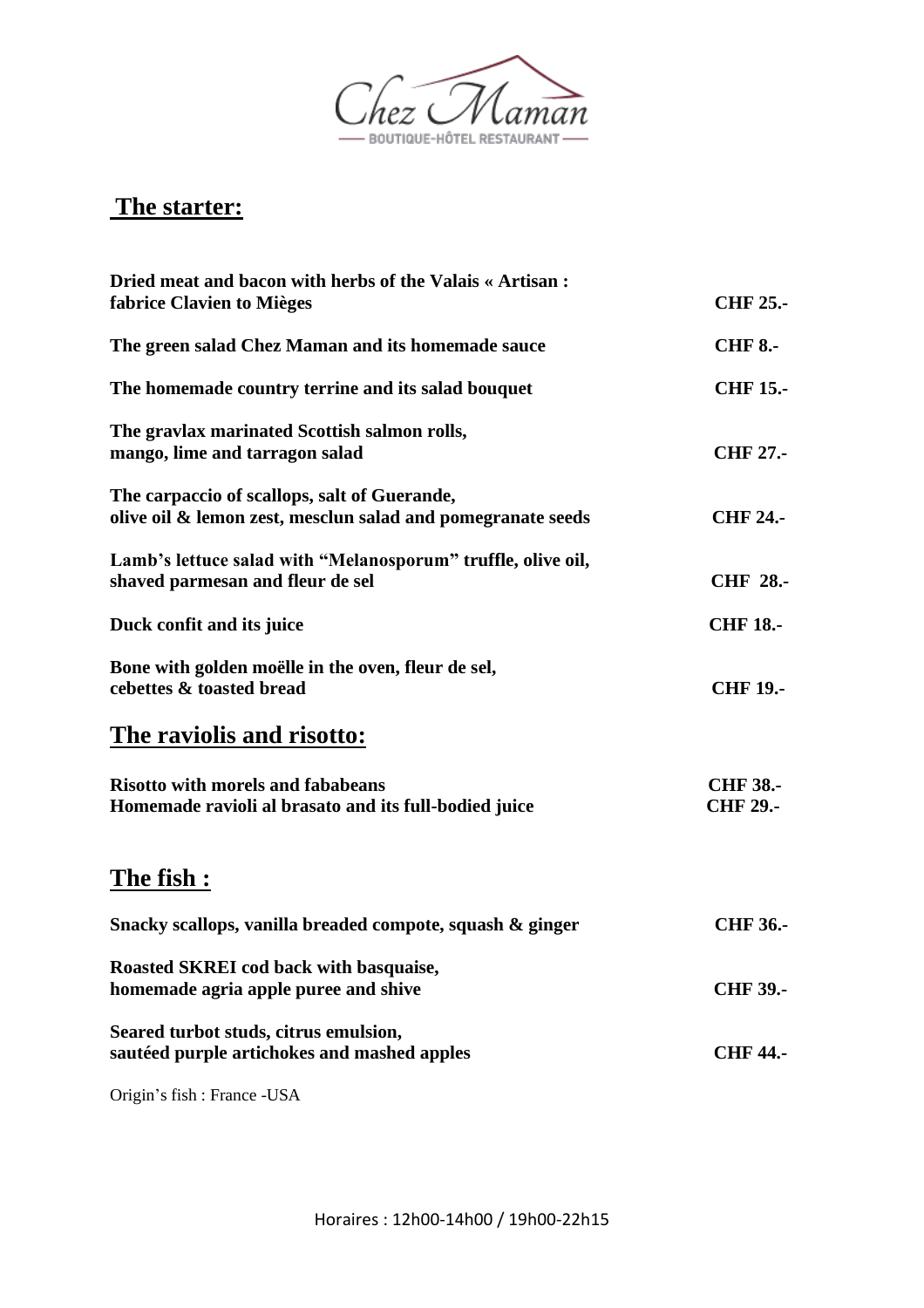

## **The starter:**

| Dried meat and bacon with herbs of the Valais « Artisan:<br>fabrice Clavien to Mièges                       | <b>CHF 25.-</b>                    |
|-------------------------------------------------------------------------------------------------------------|------------------------------------|
| The green salad Chez Maman and its homemade sauce                                                           | <b>CHF 8.-</b>                     |
| The homemade country terrine and its salad bouquet                                                          | <b>CHF 15.-</b>                    |
| The gravlax marinated Scottish salmon rolls,<br>mango, lime and tarragon salad                              | <b>CHF 27.-</b>                    |
| The carpaccio of scallops, salt of Guerande,<br>olive oil & lemon zest, mesclun salad and pomegranate seeds | <b>CHF 24.-</b>                    |
| Lamb's lettuce salad with "Melanosporum" truffle, olive oil,<br>shaved parmesan and fleur de sel            | <b>CHF 28.-</b>                    |
| Duck confit and its juice                                                                                   | <b>CHF 18.-</b>                    |
| Bone with golden moëlle in the oven, fleur de sel,<br>cebettes & toasted bread                              | <b>CHF 19.-</b>                    |
| The raviolis and risotto:                                                                                   |                                    |
| <b>Risotto with morels and fababeans</b><br>Homemade ravioli al brasato and its full-bodied juice           | <b>CHF 38.-</b><br><b>CHF 29.-</b> |
| <u>The fish :</u>                                                                                           |                                    |
| Snacky scallops, vanilla breaded compote, squash & ginger                                                   | <b>CHF 36.-</b>                    |
| Roasted SKREI cod back with basquaise,<br>homemade agria apple puree and shive                              | <b>CHF 39.-</b>                    |
| Seared turbot studs, citrus emulsion,<br>sautéed purple artichokes and mashed apples                        | <b>CHF 44.-</b>                    |
|                                                                                                             |                                    |

Origin's fish : France -USA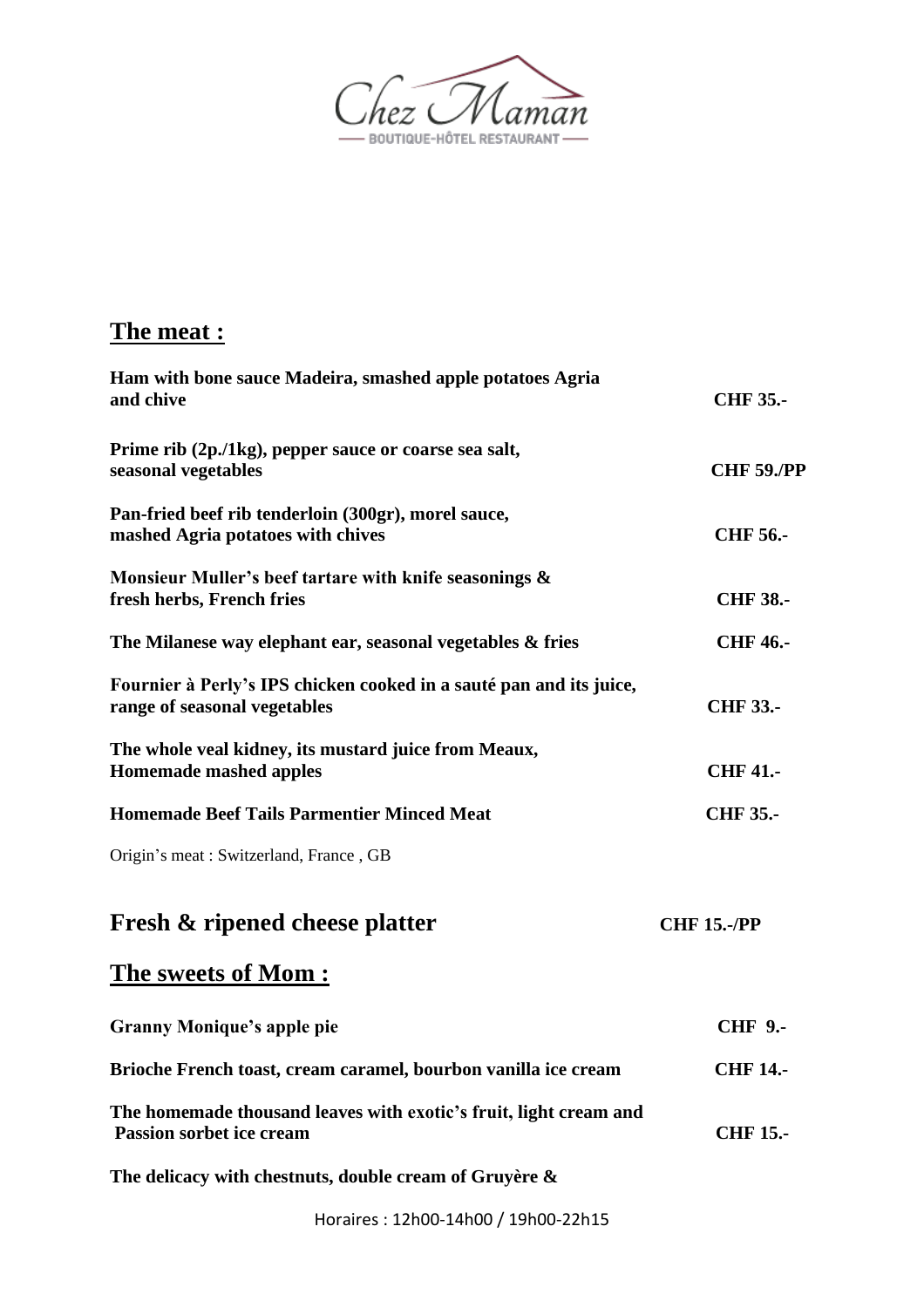

## **The meat :**

| Ham with bone sauce Madeira, smashed apple potatoes Agria<br>and chive                               | <b>CHF 35.-</b>    |
|------------------------------------------------------------------------------------------------------|--------------------|
| Prime rib (2p./1kg), pepper sauce or coarse sea salt,<br>seasonal vegetables                         | <b>CHF 59./PP</b>  |
| Pan-fried beef rib tenderloin (300gr), morel sauce,<br>mashed Agria potatoes with chives             | <b>CHF 56.-</b>    |
| Monsieur Muller's beef tartare with knife seasonings &<br>fresh herbs, French fries                  | <b>CHF 38.-</b>    |
| The Milanese way elephant ear, seasonal vegetables & fries                                           | <b>CHF 46.-</b>    |
| Fournier à Perly's IPS chicken cooked in a sauté pan and its juice,<br>range of seasonal vegetables  | <b>CHF 33.-</b>    |
| The whole veal kidney, its mustard juice from Meaux,<br><b>Homemade mashed apples</b>                | <b>CHF 41.-</b>    |
| <b>Homemade Beef Tails Parmentier Minced Meat</b>                                                    | <b>CHF 35.-</b>    |
| Origin's meat: Switzerland, France, GB                                                               |                    |
| <b>Fresh &amp; ripened cheese platter</b>                                                            | <b>CHF 15.-/PP</b> |
| <u> The sweets of Mom :</u>                                                                          |                    |
| <b>Granny Monique's apple pie</b>                                                                    | <b>CHF 9.-</b>     |
| Brioche French toast, cream caramel, bourbon vanilla ice cream                                       | <b>CHF 14.-</b>    |
| The homemade thousand leaves with exotic's fruit, light cream and<br><b>Passion sorbet ice cream</b> | <b>CHF 15.-</b>    |

**The delicacy with chestnuts, double cream of Gruyère &** 

Horaires : 12h00-14h00 / 19h00-22h15